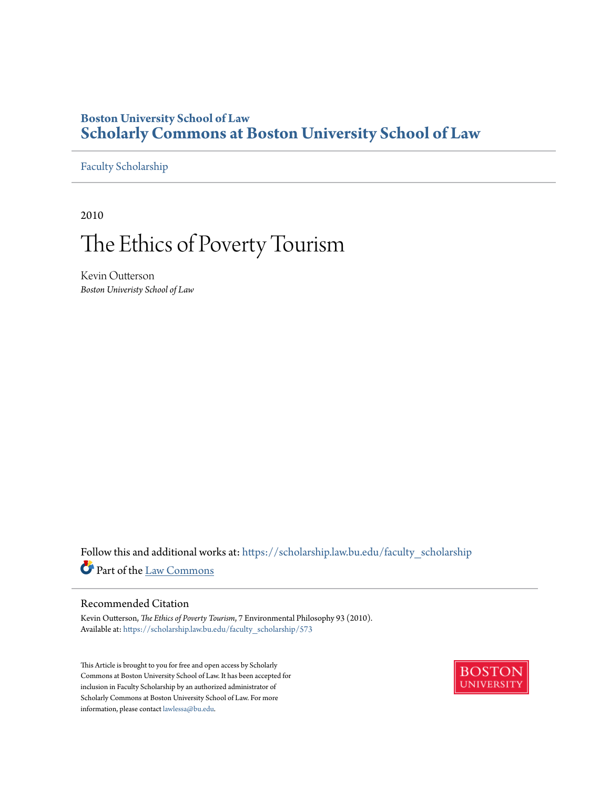### **Boston University School of Law [Scholarly Commons at Boston University School of Law](https://scholarship.law.bu.edu?utm_source=scholarship.law.bu.edu%2Ffaculty_scholarship%2F573&utm_medium=PDF&utm_campaign=PDFCoverPages)**

[Faculty Scholarship](https://scholarship.law.bu.edu/faculty_scholarship?utm_source=scholarship.law.bu.edu%2Ffaculty_scholarship%2F573&utm_medium=PDF&utm_campaign=PDFCoverPages)

2010

# The Ethics of Poverty Tourism

Kevin Outterson *Boston Univeristy School of Law*

Follow this and additional works at: [https://scholarship.law.bu.edu/faculty\\_scholarship](https://scholarship.law.bu.edu/faculty_scholarship?utm_source=scholarship.law.bu.edu%2Ffaculty_scholarship%2F573&utm_medium=PDF&utm_campaign=PDFCoverPages) Part of the [Law Commons](http://network.bepress.com/hgg/discipline/578?utm_source=scholarship.law.bu.edu%2Ffaculty_scholarship%2F573&utm_medium=PDF&utm_campaign=PDFCoverPages)

#### Recommended Citation

Kevin Outterson, *The Ethics of Poverty Tourism*, 7 Environmental Philosophy 93 (2010). Available at: [https://scholarship.law.bu.edu/faculty\\_scholarship/573](https://scholarship.law.bu.edu/faculty_scholarship/573?utm_source=scholarship.law.bu.edu%2Ffaculty_scholarship%2F573&utm_medium=PDF&utm_campaign=PDFCoverPages)

This Article is brought to you for free and open access by Scholarly Commons at Boston University School of Law. It has been accepted for inclusion in Faculty Scholarship by an authorized administrator of Scholarly Commons at Boston University School of Law. For more information, please contact [lawlessa@bu.edu.](mailto:lawlessa@bu.edu)

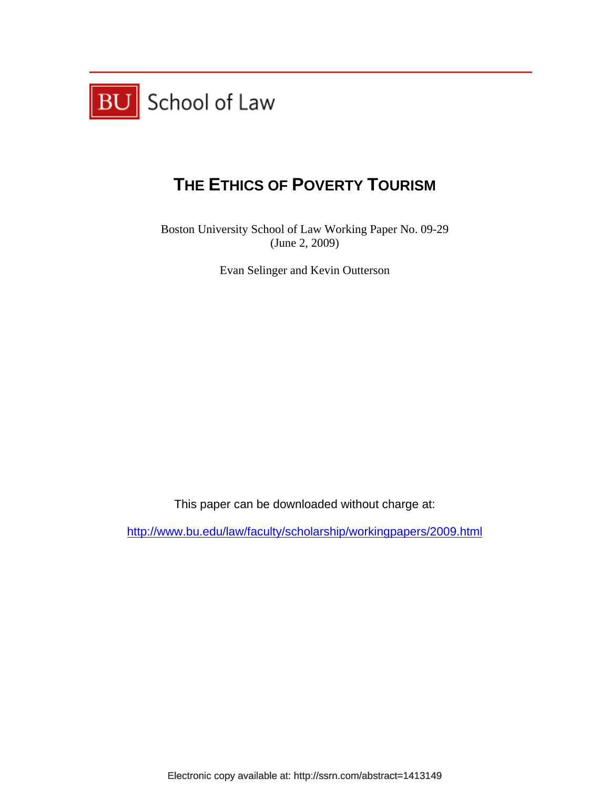

## **THE ETHICS OF POVERTY TOURISM**

Boston University School of Law Working Paper No. 09-29 (June 2, 2009)

Evan Selinger and Kevin Outterson

This paper can be downloaded without charge at:

http://www.bu.edu/law/faculty/scholarship/workingpapers/2009.html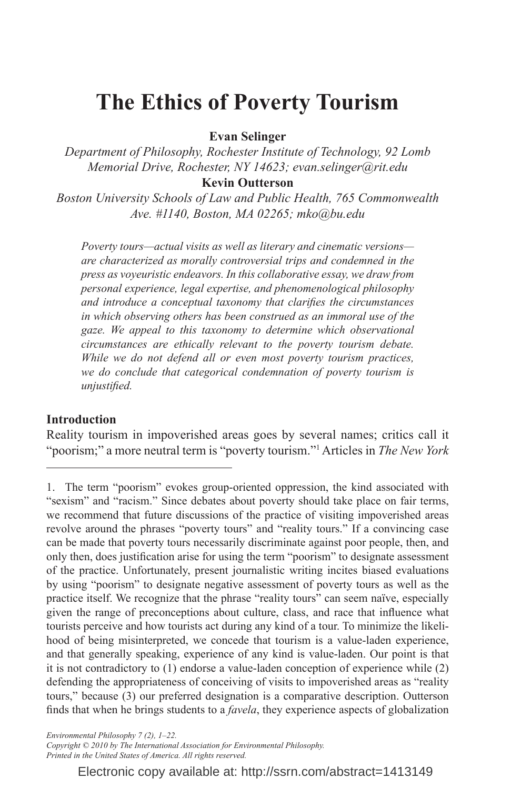### **The Ethics of Poverty Tourism**

**Evan Selinger**

*Department of Philosophy, Rochester Institute of Technology, 92 Lomb Memorial Drive, Rochester, NY 14623; evan.selinger@rit.edu*

**Kevin Outterson**

*Boston University Schools of Law and Public Health, 765 Commonwealth Ave. #1140, Boston, MA 02265; mko@bu.edu*

*Poverty tours—actual visits as well as literary and cinematic versions are characterized as morally controversial trips and condemned in the press as voyeuristic endeavors. In this collaborative essay, we draw from personal experience, legal expertise, and phenomenological philosophy and introduce a conceptual taxonomy that clarifies the circumstances in which observing others has been construed as an immoral use of the gaze. We appeal to this taxonomy to determine which observational circumstances are ethically relevant to the poverty tourism debate. While we do not defend all or even most poverty tourism practices, we do conclude that categorical condemnation of poverty tourism is unjustified.* 

#### **Introduction**

Reality tourism in impoverished areas goes by several names; critics call it "poorism;" a more neutral term is "poverty tourism."1 Articles in *The New York* 

*Copyright © 2010 by The International Association for Environmental Philosophy. Printed in the United States of America. All rights reserved.* 

Electronic copy available at: http://ssrn.com/abstract=1413149

<sup>1.</sup> The term "poorism" evokes group-oriented oppression, the kind associated with "sexism" and "racism." Since debates about poverty should take place on fair terms, we recommend that future discussions of the practice of visiting impoverished areas revolve around the phrases "poverty tours" and "reality tours." If a convincing case can be made that poverty tours necessarily discriminate against poor people, then, and only then, does justification arise for using the term "poorism" to designate assessment of the practice. Unfortunately, present journalistic writing incites biased evaluations by using "poorism" to designate negative assessment of poverty tours as well as the practice itself. We recognize that the phrase "reality tours" can seem naïve, especially given the range of preconceptions about culture, class, and race that influence what tourists perceive and how tourists act during any kind of a tour. To minimize the likelihood of being misinterpreted, we concede that tourism is a value-laden experience, and that generally speaking, experience of any kind is value-laden. Our point is that it is not contradictory to (1) endorse a value-laden conception of experience while (2) defending the appropriateness of conceiving of visits to impoverished areas as "reality tours," because (3) our preferred designation is a comparative description. Outterson finds that when he brings students to a *favela*, they experience aspects of globalization

*Environmental Philosophy 7 (2), 1–22.*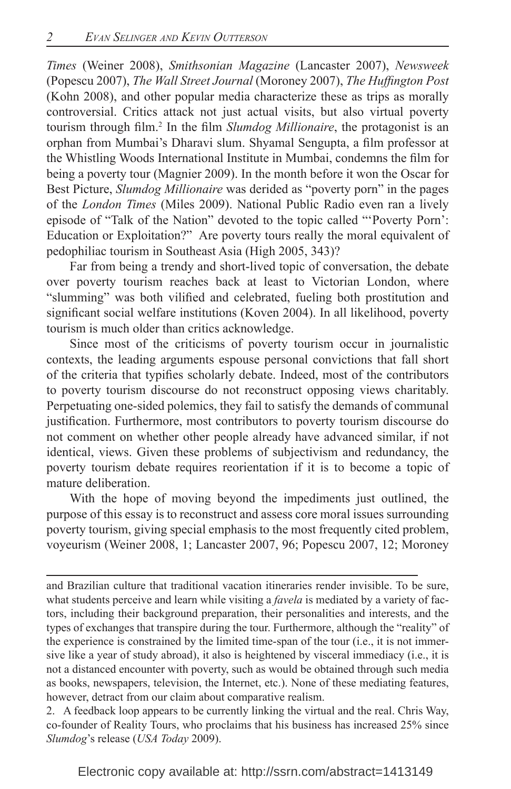*Times* (Weiner 2008), *Smithsonian Magazine* (Lancaster 2007), *Newsweek* (Popescu 2007), *The Wall Street Journal* (Moroney 2007), *The Huffington Post*  (Kohn 2008), and other popular media characterize these as trips as morally controversial. Critics attack not just actual visits, but also virtual poverty tourism through film.<sup>2</sup> In the film *Slumdog Millionaire*, the protagonist is an orphan from Mumbai's Dharavi slum. Shyamal Sengupta, a film professor at the Whistling Woods International Institute in Mumbai, condemns the film for being a poverty tour (Magnier 2009). In the month before it won the Oscar for Best Picture, *Slumdog Millionaire* was derided as "poverty porn" in the pages of the *London Times* (Miles 2009). National Public Radio even ran a lively episode of "Talk of the Nation" devoted to the topic called "'Poverty Porn': Education or Exploitation?" Are poverty tours really the moral equivalent of pedophiliac tourism in Southeast Asia (High 2005, 343)?

Far from being a trendy and short-lived topic of conversation, the debate over poverty tourism reaches back at least to Victorian London, where "slumming" was both vilified and celebrated, fueling both prostitution and significant social welfare institutions (Koven 2004). In all likelihood, poverty tourism is much older than critics acknowledge.

Since most of the criticisms of poverty tourism occur in journalistic contexts, the leading arguments espouse personal convictions that fall short of the criteria that typifies scholarly debate. Indeed, most of the contributors to poverty tourism discourse do not reconstruct opposing views charitably. Perpetuating one-sided polemics, they fail to satisfy the demands of communal justification. Furthermore, most contributors to poverty tourism discourse do not comment on whether other people already have advanced similar, if not identical, views. Given these problems of subjectivism and redundancy, the poverty tourism debate requires reorientation if it is to become a topic of mature deliberation.

With the hope of moving beyond the impediments just outlined, the purpose of this essay is to reconstruct and assess core moral issues surrounding poverty tourism, giving special emphasis to the most frequently cited problem, voyeurism (Weiner 2008, 1; Lancaster 2007, 96; Popescu 2007, 12; Moroney

Electronic copy available at: http://ssrn.com/abstract=1413149

and Brazilian culture that traditional vacation itineraries render invisible. To be sure, what students perceive and learn while visiting a *favela* is mediated by a variety of factors, including their background preparation, their personalities and interests, and the types of exchanges that transpire during the tour. Furthermore, although the "reality" of the experience is constrained by the limited time-span of the tour (i.e., it is not immersive like a year of study abroad), it also is heightened by visceral immediacy (i.e., it is not a distanced encounter with poverty, such as would be obtained through such media as books, newspapers, television, the Internet, etc.). None of these mediating features, however, detract from our claim about comparative realism.

<sup>2.</sup> A feedback loop appears to be currently linking the virtual and the real. Chris Way, co-founder of Reality Tours, who proclaims that his business has increased 25% since *Slumdog*'s release (*USA Today* 2009).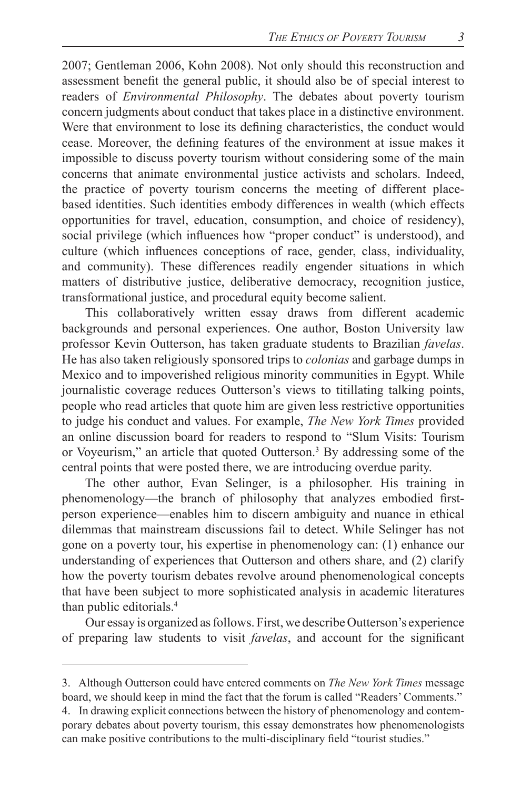2007; Gentleman 2006, Kohn 2008). Not only should this reconstruction and assessment benefit the general public, it should also be of special interest to readers of *Environmental Philosophy*. The debates about poverty tourism concern judgments about conduct that takes place in a distinctive environment. Were that environment to lose its defining characteristics, the conduct would cease. Moreover, the defining features of the environment at issue makes it impossible to discuss poverty tourism without considering some of the main concerns that animate environmental justice activists and scholars. Indeed, the practice of poverty tourism concerns the meeting of different placebased identities. Such identities embody differences in wealth (which effects opportunities for travel, education, consumption, and choice of residency), social privilege (which influences how "proper conduct" is understood), and culture (which influences conceptions of race, gender, class, individuality, and community). These differences readily engender situations in which matters of distributive justice, deliberative democracy, recognition justice, transformational justice, and procedural equity become salient.

This collaboratively written essay draws from different academic backgrounds and personal experiences. One author, Boston University law professor Kevin Outterson, has taken graduate students to Brazilian *favelas*. He has also taken religiously sponsored trips to *colonias* and garbage dumps in Mexico and to impoverished religious minority communities in Egypt. While journalistic coverage reduces Outterson's views to titillating talking points, people who read articles that quote him are given less restrictive opportunities to judge his conduct and values. For example, *The New York Times* provided an online discussion board for readers to respond to "Slum Visits: Tourism or Voyeurism," an article that quoted Outterson.<sup>3</sup> By addressing some of the central points that were posted there, we are introducing overdue parity.

The other author, Evan Selinger, is a philosopher. His training in phenomenology—the branch of philosophy that analyzes embodied firstperson experience—enables him to discern ambiguity and nuance in ethical dilemmas that mainstream discussions fail to detect. While Selinger has not gone on a poverty tour, his expertise in phenomenology can: (1) enhance our understanding of experiences that Outterson and others share, and (2) clarify how the poverty tourism debates revolve around phenomenological concepts that have been subject to more sophisticated analysis in academic literatures than public editorials.4

Our essay is organized as follows. First, we describe Outterson's experience of preparing law students to visit *favelas*, and account for the significant

<sup>3.</sup> Although Outterson could have entered comments on *The New York Times* message board, we should keep in mind the fact that the forum is called "Readers' Comments."

<sup>4.</sup> In drawing explicit connections between the history of phenomenology and contemporary debates about poverty tourism, this essay demonstrates how phenomenologists can make positive contributions to the multi-disciplinary field "tourist studies."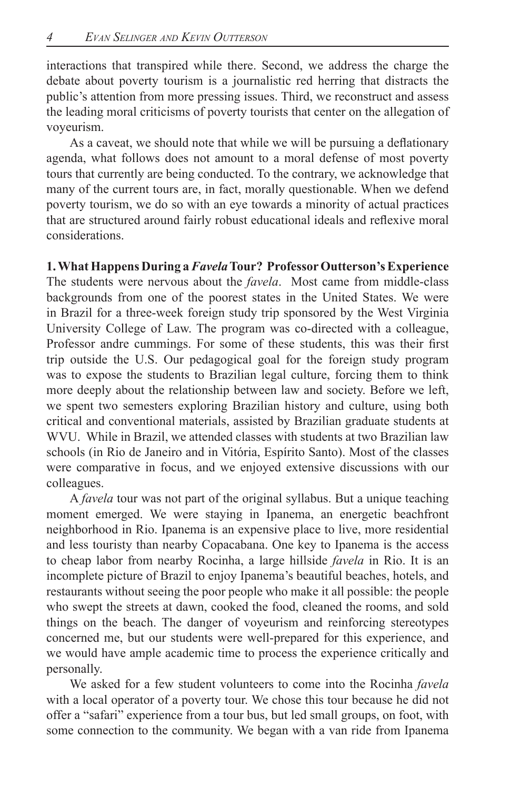interactions that transpired while there. Second, we address the charge the debate about poverty tourism is a journalistic red herring that distracts the public's attention from more pressing issues. Third, we reconstruct and assess the leading moral criticisms of poverty tourists that center on the allegation of voyeurism.

As a caveat, we should note that while we will be pursuing a deflationary agenda, what follows does not amount to a moral defense of most poverty tours that currently are being conducted. To the contrary, we acknowledge that many of the current tours are, in fact, morally questionable. When we defend poverty tourism, we do so with an eye towards a minority of actual practices that are structured around fairly robust educational ideals and reflexive moral considerations.

**1. What Happens During a** *Favela* **Tour? Professor Outterson's Experience**

The students were nervous about the *favela*. Most came from middle-class backgrounds from one of the poorest states in the United States. We were in Brazil for a three-week foreign study trip sponsored by the West Virginia University College of Law. The program was co-directed with a colleague, Professor andre cummings. For some of these students, this was their first trip outside the U.S. Our pedagogical goal for the foreign study program was to expose the students to Brazilian legal culture, forcing them to think more deeply about the relationship between law and society. Before we left, we spent two semesters exploring Brazilian history and culture, using both critical and conventional materials, assisted by Brazilian graduate students at WVU. While in Brazil, we attended classes with students at two Brazilian law schools (in Rio de Janeiro and in Vitória, Espírito Santo). Most of the classes were comparative in focus, and we enjoyed extensive discussions with our colleagues.

A *favela* tour was not part of the original syllabus. But a unique teaching moment emerged. We were staying in Ipanema, an energetic beachfront neighborhood in Rio. Ipanema is an expensive place to live, more residential and less touristy than nearby Copacabana. One key to Ipanema is the access to cheap labor from nearby Rocinha, a large hillside *favela* in Rio. It is an incomplete picture of Brazil to enjoy Ipanema's beautiful beaches, hotels, and restaurants without seeing the poor people who make it all possible: the people who swept the streets at dawn, cooked the food, cleaned the rooms, and sold things on the beach. The danger of voyeurism and reinforcing stereotypes concerned me, but our students were well-prepared for this experience, and we would have ample academic time to process the experience critically and personally.

We asked for a few student volunteers to come into the Rocinha *favela* with a local operator of a poverty tour. We chose this tour because he did not offer a "safari" experience from a tour bus, but led small groups, on foot, with some connection to the community. We began with a van ride from Ipanema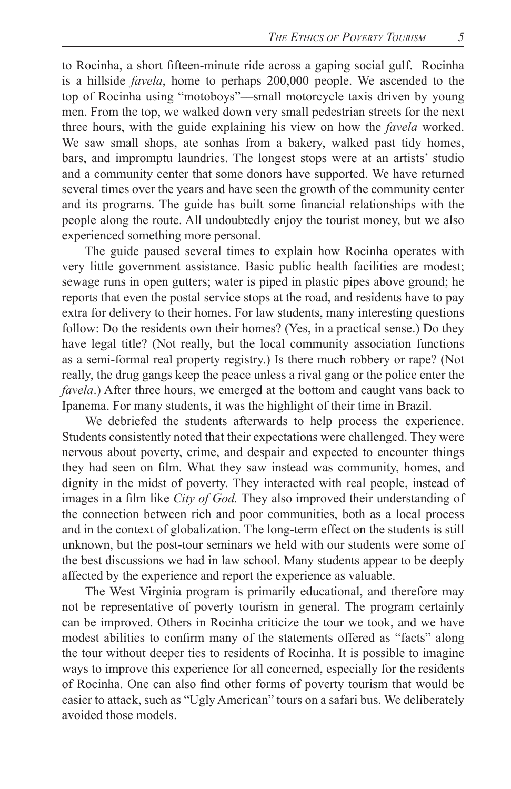to Rocinha, a short fifteen-minute ride across a gaping social gulf. Rocinha is a hillside *favela*, home to perhaps 200,000 people. We ascended to the top of Rocinha using "motoboys"––small motorcycle taxis driven by young men. From the top, we walked down very small pedestrian streets for the next three hours, with the guide explaining his view on how the *favela* worked. We saw small shops, ate sonhas from a bakery, walked past tidy homes, bars, and impromptu laundries. The longest stops were at an artists' studio and a community center that some donors have supported. We have returned several times over the years and have seen the growth of the community center and its programs. The guide has built some financial relationships with the people along the route. All undoubtedly enjoy the tourist money, but we also experienced something more personal.

The guide paused several times to explain how Rocinha operates with very little government assistance. Basic public health facilities are modest; sewage runs in open gutters; water is piped in plastic pipes above ground; he reports that even the postal service stops at the road, and residents have to pay extra for delivery to their homes. For law students, many interesting questions follow: Do the residents own their homes? (Yes, in a practical sense.) Do they have legal title? (Not really, but the local community association functions as a semi-formal real property registry.) Is there much robbery or rape? (Not really, the drug gangs keep the peace unless a rival gang or the police enter the *favela*.) After three hours, we emerged at the bottom and caught vans back to Ipanema. For many students, it was the highlight of their time in Brazil.

We debriefed the students afterwards to help process the experience. Students consistently noted that their expectations were challenged. They were nervous about poverty, crime, and despair and expected to encounter things they had seen on film. What they saw instead was community, homes, and dignity in the midst of poverty. They interacted with real people, instead of images in a film like *City of God.* They also improved their understanding of the connection between rich and poor communities, both as a local process and in the context of globalization. The long-term effect on the students is still unknown, but the post-tour seminars we held with our students were some of the best discussions we had in law school. Many students appear to be deeply affected by the experience and report the experience as valuable.

The West Virginia program is primarily educational, and therefore may not be representative of poverty tourism in general. The program certainly can be improved. Others in Rocinha criticize the tour we took, and we have modest abilities to confirm many of the statements offered as "facts" along the tour without deeper ties to residents of Rocinha. It is possible to imagine ways to improve this experience for all concerned, especially for the residents of Rocinha. One can also find other forms of poverty tourism that would be easier to attack, such as "Ugly American" tours on a safari bus. We deliberately avoided those models.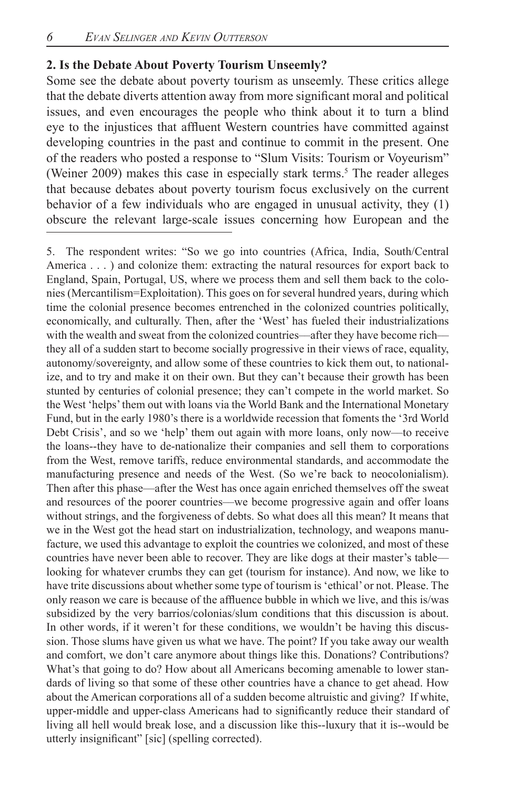#### **2. Is the Debate About Poverty Tourism Unseemly?**

Some see the debate about poverty tourism as unseemly. These critics allege that the debate diverts attention away from more significant moral and political issues, and even encourages the people who think about it to turn a blind eye to the injustices that affluent Western countries have committed against developing countries in the past and continue to commit in the present. One of the readers who posted a response to "Slum Visits: Tourism or Voyeurism" (Weiner 2009) makes this case in especially stark terms.<sup>5</sup> The reader alleges that because debates about poverty tourism focus exclusively on the current behavior of a few individuals who are engaged in unusual activity, they (1) obscure the relevant large-scale issues concerning how European and the

5. The respondent writes: "So we go into countries (Africa, India, South/Central America . . . ) and colonize them: extracting the natural resources for export back to England, Spain, Portugal, US, where we process them and sell them back to the colonies (Mercantilism=Exploitation). This goes on for several hundred years, during which time the colonial presence becomes entrenched in the colonized countries politically, economically, and culturally. Then, after the 'West' has fueled their industrializations with the wealth and sweat from the colonized countries—after they have become rich they all of a sudden start to become socially progressive in their views of race, equality, autonomy/sovereignty, and allow some of these countries to kick them out, to nationalize, and to try and make it on their own. But they can't because their growth has been stunted by centuries of colonial presence; they can't compete in the world market. So the West 'helps' them out with loans via the World Bank and the International Monetary Fund, but in the early 1980's there is a worldwide recession that foments the '3rd World Debt Crisis', and so we 'help' them out again with more loans, only now––to receive the loans--they have to de-nationalize their companies and sell them to corporations from the West, remove tariffs, reduce environmental standards, and accommodate the manufacturing presence and needs of the West. (So we're back to neocolonialism). Then after this phase––after the West has once again enriched themselves off the sweat and resources of the poorer countries––we become progressive again and offer loans without strings, and the forgiveness of debts. So what does all this mean? It means that we in the West got the head start on industrialization, technology, and weapons manufacture, we used this advantage to exploit the countries we colonized, and most of these countries have never been able to recover. They are like dogs at their master's table–– looking for whatever crumbs they can get (tourism for instance). And now, we like to have trite discussions about whether some type of tourism is 'ethical' or not. Please. The only reason we care is because of the affluence bubble in which we live, and this is/was subsidized by the very barrios/colonias/slum conditions that this discussion is about. In other words, if it weren't for these conditions, we wouldn't be having this discussion. Those slums have given us what we have. The point? If you take away our wealth and comfort, we don't care anymore about things like this. Donations? Contributions? What's that going to do? How about all Americans becoming amenable to lower standards of living so that some of these other countries have a chance to get ahead. How about the American corporations all of a sudden become altruistic and giving? If white, upper-middle and upper-class Americans had to significantly reduce their standard of living all hell would break lose, and a discussion like this--luxury that it is--would be utterly insignificant" [sic] (spelling corrected).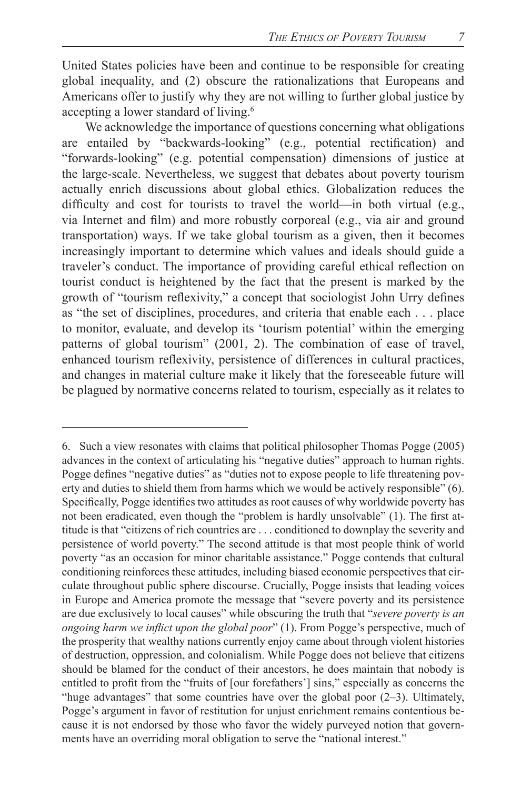United States policies have been and continue to be responsible for creating global inequality, and (2) obscure the rationalizations that Europeans and Americans offer to justify why they are not willing to further global justice by accepting a lower standard of living.6

We acknowledge the importance of questions concerning what obligations are entailed by "backwards-looking" (e.g., potential rectification) and "forwards-looking" (e.g. potential compensation) dimensions of justice at the large-scale. Nevertheless, we suggest that debates about poverty tourism actually enrich discussions about global ethics. Globalization reduces the difficulty and cost for tourists to travel the world—in both virtual (e.g., via Internet and film) and more robustly corporeal (e.g., via air and ground transportation) ways. If we take global tourism as a given, then it becomes increasingly important to determine which values and ideals should guide a traveler's conduct. The importance of providing careful ethical reflection on tourist conduct is heightened by the fact that the present is marked by the growth of "tourism reflexivity," a concept that sociologist John Urry defines as "the set of disciplines, procedures, and criteria that enable each . . . place to monitor, evaluate, and develop its 'tourism potential' within the emerging patterns of global tourism" (2001, 2). The combination of ease of travel, enhanced tourism reflexivity, persistence of differences in cultural practices, and changes in material culture make it likely that the foreseeable future will be plagued by normative concerns related to tourism, especially as it relates to

<sup>6.</sup> Such a view resonates with claims that political philosopher Thomas Pogge (2005) advances in the context of articulating his "negative duties" approach to human rights. Pogge defines "negative duties" as "duties not to expose people to life threatening poverty and duties to shield them from harms which we would be actively responsible" (6). Specifically, Pogge identifies two attitudes as root causes of why worldwide poverty has not been eradicated, even though the "problem is hardly unsolvable" (1). The first attitude is that "citizens of rich countries are . . . conditioned to downplay the severity and persistence of world poverty." The second attitude is that most people think of world poverty "as an occasion for minor charitable assistance." Pogge contends that cultural conditioning reinforces these attitudes, including biased economic perspectives that circulate throughout public sphere discourse. Crucially, Pogge insists that leading voices in Europe and America promote the message that "severe poverty and its persistence are due exclusively to local causes" while obscuring the truth that "*severe poverty is an ongoing harm we inflict upon the global poor*" (1). From Pogge's perspective, much of the prosperity that wealthy nations currently enjoy came about through violent histories of destruction, oppression, and colonialism. While Pogge does not believe that citizens should be blamed for the conduct of their ancestors, he does maintain that nobody is entitled to profit from the "fruits of [our forefathers'] sins," especially as concerns the "huge advantages" that some countries have over the global poor (2–3). Ultimately, Pogge's argument in favor of restitution for unjust enrichment remains contentious because it is not endorsed by those who favor the widely purveyed notion that governments have an overriding moral obligation to serve the "national interest."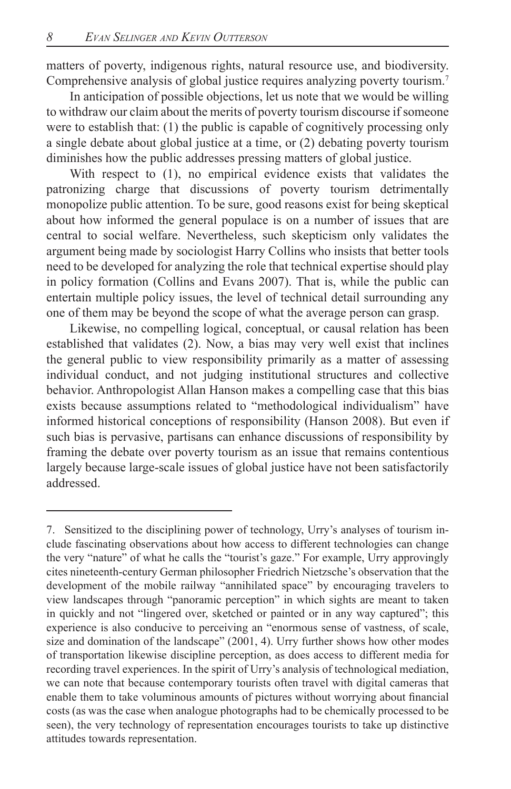matters of poverty, indigenous rights, natural resource use, and biodiversity. Comprehensive analysis of global justice requires analyzing poverty tourism.7

In anticipation of possible objections, let us note that we would be willing to withdraw our claim about the merits of poverty tourism discourse if someone were to establish that: (1) the public is capable of cognitively processing only a single debate about global justice at a time, or (2) debating poverty tourism diminishes how the public addresses pressing matters of global justice.

With respect to (1), no empirical evidence exists that validates the patronizing charge that discussions of poverty tourism detrimentally monopolize public attention. To be sure, good reasons exist for being skeptical about how informed the general populace is on a number of issues that are central to social welfare. Nevertheless, such skepticism only validates the argument being made by sociologist Harry Collins who insists that better tools need to be developed for analyzing the role that technical expertise should play in policy formation (Collins and Evans 2007). That is, while the public can entertain multiple policy issues, the level of technical detail surrounding any one of them may be beyond the scope of what the average person can grasp.

Likewise, no compelling logical, conceptual, or causal relation has been established that validates (2). Now, a bias may very well exist that inclines the general public to view responsibility primarily as a matter of assessing individual conduct, and not judging institutional structures and collective behavior. Anthropologist Allan Hanson makes a compelling case that this bias exists because assumptions related to "methodological individualism" have informed historical conceptions of responsibility (Hanson 2008). But even if such bias is pervasive, partisans can enhance discussions of responsibility by framing the debate over poverty tourism as an issue that remains contentious largely because large-scale issues of global justice have not been satisfactorily addressed.

<sup>7.</sup> Sensitized to the disciplining power of technology, Urry's analyses of tourism include fascinating observations about how access to different technologies can change the very "nature" of what he calls the "tourist's gaze." For example, Urry approvingly cites nineteenth-century German philosopher Friedrich Nietzsche's observation that the development of the mobile railway "annihilated space" by encouraging travelers to view landscapes through "panoramic perception" in which sights are meant to taken in quickly and not "lingered over, sketched or painted or in any way captured"; this experience is also conducive to perceiving an "enormous sense of vastness, of scale, size and domination of the landscape" (2001, 4). Urry further shows how other modes of transportation likewise discipline perception, as does access to different media for recording travel experiences. In the spirit of Urry's analysis of technological mediation, we can note that because contemporary tourists often travel with digital cameras that enable them to take voluminous amounts of pictures without worrying about financial costs (as was the case when analogue photographs had to be chemically processed to be seen), the very technology of representation encourages tourists to take up distinctive attitudes towards representation.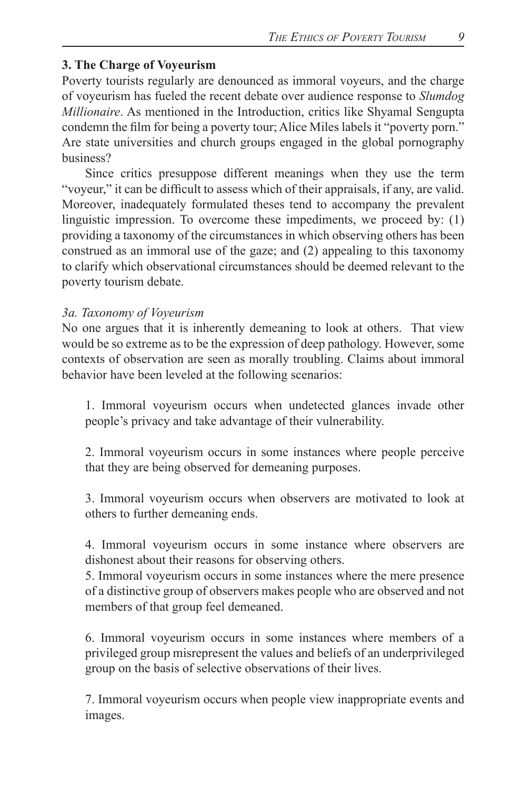#### **3. The Charge of Voyeurism**

Poverty tourists regularly are denounced as immoral voyeurs, and the charge of voyeurism has fueled the recent debate over audience response to *Slumdog Millionaire*. As mentioned in the Introduction, critics like Shyamal Sengupta condemn the film for being a poverty tour; Alice Miles labels it "poverty porn." Are state universities and church groups engaged in the global pornography business?

Since critics presuppose different meanings when they use the term "voyeur," it can be difficult to assess which of their appraisals, if any, are valid. Moreover, inadequately formulated theses tend to accompany the prevalent linguistic impression. To overcome these impediments, we proceed by: (1) providing a taxonomy of the circumstances in which observing others has been construed as an immoral use of the gaze; and (2) appealing to this taxonomy to clarify which observational circumstances should be deemed relevant to the poverty tourism debate.

#### *3a. Taxonomy of Voyeurism*

No one argues that it is inherently demeaning to look at others. That view would be so extreme as to be the expression of deep pathology. However, some contexts of observation are seen as morally troubling. Claims about immoral behavior have been leveled at the following scenarios:

1. Immoral voyeurism occurs when undetected glances invade other people's privacy and take advantage of their vulnerability.

2. Immoral voyeurism occurs in some instances where people perceive that they are being observed for demeaning purposes.

3. Immoral voyeurism occurs when observers are motivated to look at others to further demeaning ends.

4. Immoral voyeurism occurs in some instance where observers are dishonest about their reasons for observing others.

5. Immoral voyeurism occurs in some instances where the mere presence of a distinctive group of observers makes people who are observed and not members of that group feel demeaned.

6. Immoral voyeurism occurs in some instances where members of a privileged group misrepresent the values and beliefs of an underprivileged group on the basis of selective observations of their lives.

7. Immoral voyeurism occurs when people view inappropriate events and images.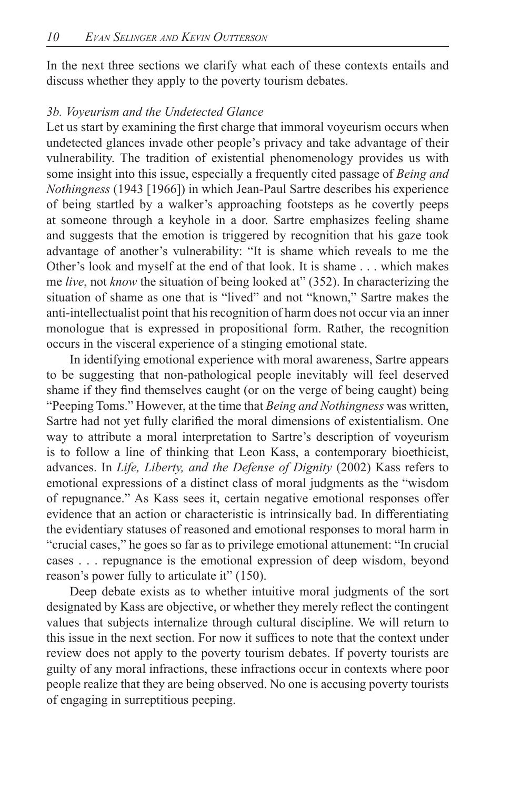In the next three sections we clarify what each of these contexts entails and discuss whether they apply to the poverty tourism debates.

#### *3b. Voyeurism and the Undetected Glance*

Let us start by examining the first charge that immoral voyeurism occurs when undetected glances invade other people's privacy and take advantage of their vulnerability. The tradition of existential phenomenology provides us with some insight into this issue, especially a frequently cited passage of *Being and Nothingness* (1943 [1966]) in which Jean-Paul Sartre describes his experience of being startled by a walker's approaching footsteps as he covertly peeps at someone through a keyhole in a door. Sartre emphasizes feeling shame and suggests that the emotion is triggered by recognition that his gaze took advantage of another's vulnerability: "It is shame which reveals to me the Other's look and myself at the end of that look. It is shame . . . which makes me *live*, not *know* the situation of being looked at" (352). In characterizing the situation of shame as one that is "lived" and not "known," Sartre makes the anti-intellectualist point that his recognition of harm does not occur via an inner monologue that is expressed in propositional form. Rather, the recognition occurs in the visceral experience of a stinging emotional state.

In identifying emotional experience with moral awareness, Sartre appears to be suggesting that non-pathological people inevitably will feel deserved shame if they find themselves caught (or on the verge of being caught) being "Peeping Toms." However, at the time that *Being and Nothingness* was written, Sartre had not yet fully clarified the moral dimensions of existentialism. One way to attribute a moral interpretation to Sartre's description of voyeurism is to follow a line of thinking that Leon Kass, a contemporary bioethicist, advances. In *Life, Liberty, and the Defense of Dignity* (2002) Kass refers to emotional expressions of a distinct class of moral judgments as the "wisdom of repugnance." As Kass sees it, certain negative emotional responses offer evidence that an action or characteristic is intrinsically bad. In differentiating the evidentiary statuses of reasoned and emotional responses to moral harm in "crucial cases," he goes so far as to privilege emotional attunement: "In crucial cases . . . repugnance is the emotional expression of deep wisdom, beyond reason's power fully to articulate it" (150).

Deep debate exists as to whether intuitive moral judgments of the sort designated by Kass are objective, or whether they merely reflect the contingent values that subjects internalize through cultural discipline. We will return to this issue in the next section. For now it suffices to note that the context under review does not apply to the poverty tourism debates. If poverty tourists are guilty of any moral infractions, these infractions occur in contexts where poor people realize that they are being observed. No one is accusing poverty tourists of engaging in surreptitious peeping.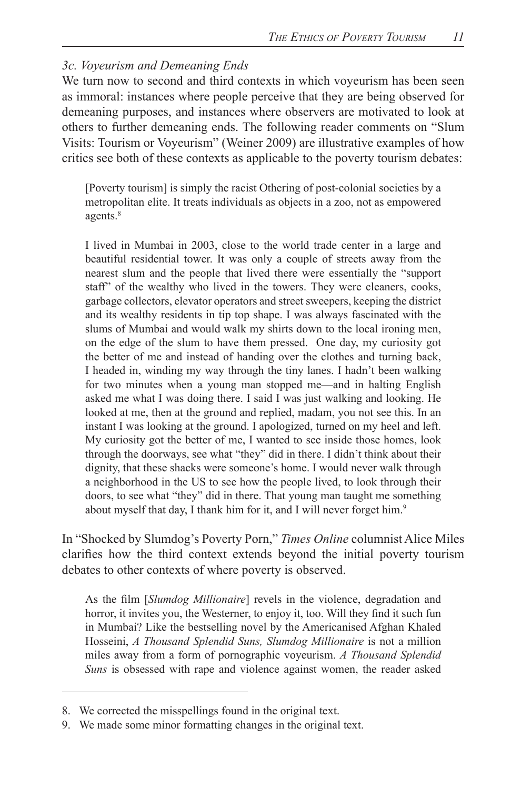#### *3c. Voyeurism and Demeaning Ends*

We turn now to second and third contexts in which voyeurism has been seen as immoral: instances where people perceive that they are being observed for demeaning purposes, and instances where observers are motivated to look at others to further demeaning ends. The following reader comments on "Slum Visits: Tourism or Voyeurism" (Weiner 2009) are illustrative examples of how critics see both of these contexts as applicable to the poverty tourism debates:

[Poverty tourism] is simply the racist Othering of post-colonial societies by a metropolitan elite. It treats individuals as objects in a zoo, not as empowered agents.<sup>8</sup>

I lived in Mumbai in 2003, close to the world trade center in a large and beautiful residential tower. It was only a couple of streets away from the nearest slum and the people that lived there were essentially the "support staff" of the wealthy who lived in the towers. They were cleaners, cooks, garbage collectors, elevator operators and street sweepers, keeping the district and its wealthy residents in tip top shape. I was always fascinated with the slums of Mumbai and would walk my shirts down to the local ironing men, on the edge of the slum to have them pressed. One day, my curiosity got the better of me and instead of handing over the clothes and turning back, I headed in, winding my way through the tiny lanes. I hadn't been walking for two minutes when a young man stopped me—and in halting English asked me what I was doing there. I said I was just walking and looking. He looked at me, then at the ground and replied, madam, you not see this. In an instant I was looking at the ground. I apologized, turned on my heel and left. My curiosity got the better of me, I wanted to see inside those homes, look through the doorways, see what "they" did in there. I didn't think about their dignity, that these shacks were someone's home. I would never walk through a neighborhood in the US to see how the people lived, to look through their doors, to see what "they" did in there. That young man taught me something about myself that day, I thank him for it, and I will never forget him.<sup>9</sup>

In "Shocked by Slumdog's Poverty Porn," *Times Online* columnist Alice Miles clarifies how the third context extends beyond the initial poverty tourism debates to other contexts of where poverty is observed.

As the film [*Slumdog Millionaire*] revels in the violence, degradation and horror, it invites you, the Westerner, to enjoy it, too. Will they find it such fun in Mumbai? Like the bestselling novel by the Americanised Afghan Khaled Hosseini, *A Thousand Splendid Suns, Slumdog Millionaire* is not a million miles away from a form of pornographic voyeurism. *A Thousand Splendid Suns* is obsessed with rape and violence against women, the reader asked

<sup>8.</sup> We corrected the misspellings found in the original text.

<sup>9.</sup> We made some minor formatting changes in the original text.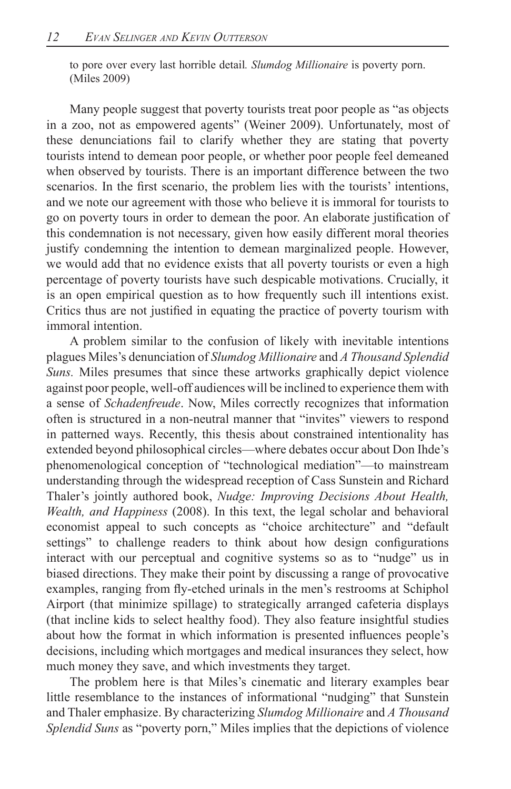to pore over every last horrible detail*. Slumdog Millionaire* is poverty porn. (Miles 2009)

Many people suggest that poverty tourists treat poor people as "as objects in a zoo, not as empowered agents" (Weiner 2009). Unfortunately, most of these denunciations fail to clarify whether they are stating that poverty tourists intend to demean poor people, or whether poor people feel demeaned when observed by tourists. There is an important difference between the two scenarios. In the first scenario, the problem lies with the tourists' intentions, and we note our agreement with those who believe it is immoral for tourists to go on poverty tours in order to demean the poor. An elaborate justification of this condemnation is not necessary, given how easily different moral theories justify condemning the intention to demean marginalized people. However, we would add that no evidence exists that all poverty tourists or even a high percentage of poverty tourists have such despicable motivations. Crucially, it is an open empirical question as to how frequently such ill intentions exist. Critics thus are not justified in equating the practice of poverty tourism with immoral intention.

A problem similar to the confusion of likely with inevitable intentions plagues Miles's denunciation of *Slumdog Millionaire* and *A Thousand Splendid Suns.* Miles presumes that since these artworks graphically depict violence against poor people, well-off audiences will be inclined to experience them with a sense of *Schadenfreude*. Now, Miles correctly recognizes that information often is structured in a non-neutral manner that "invites" viewers to respond in patterned ways. Recently, this thesis about constrained intentionality has extended beyond philosophical circles—where debates occur about Don Ihde's phenomenological conception of "technological mediation"—to mainstream understanding through the widespread reception of Cass Sunstein and Richard Thaler's jointly authored book, *Nudge: Improving Decisions About Health, Wealth, and Happiness* (2008). In this text, the legal scholar and behavioral economist appeal to such concepts as "choice architecture" and "default settings" to challenge readers to think about how design configurations interact with our perceptual and cognitive systems so as to "nudge" us in biased directions. They make their point by discussing a range of provocative examples, ranging from fly-etched urinals in the men's restrooms at Schiphol Airport (that minimize spillage) to strategically arranged cafeteria displays (that incline kids to select healthy food). They also feature insightful studies about how the format in which information is presented influences people's decisions, including which mortgages and medical insurances they select, how much money they save, and which investments they target.

The problem here is that Miles's cinematic and literary examples bear little resemblance to the instances of informational "nudging" that Sunstein and Thaler emphasize. By characterizing *Slumdog Millionaire* and *A Thousand Splendid Suns* as "poverty porn," Miles implies that the depictions of violence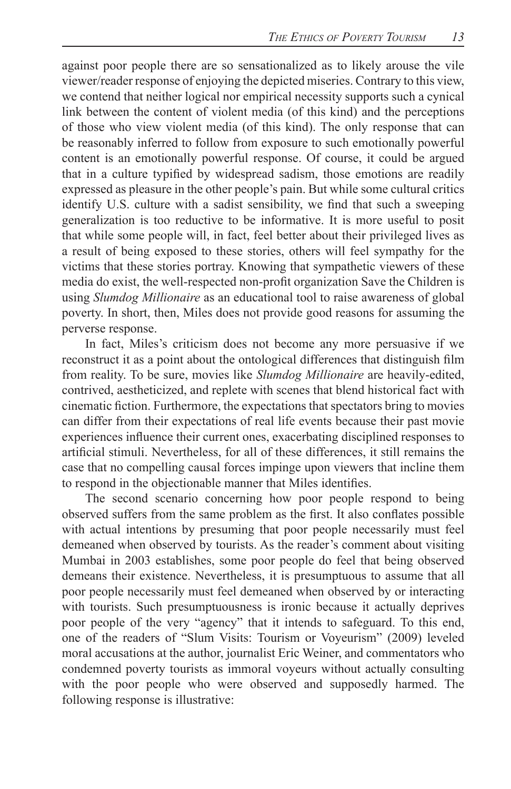against poor people there are so sensationalized as to likely arouse the vile viewer/reader response of enjoying the depicted miseries. Contrary to this view, we contend that neither logical nor empirical necessity supports such a cynical link between the content of violent media (of this kind) and the perceptions of those who view violent media (of this kind). The only response that can be reasonably inferred to follow from exposure to such emotionally powerful content is an emotionally powerful response. Of course, it could be argued that in a culture typified by widespread sadism, those emotions are readily expressed as pleasure in the other people's pain. But while some cultural critics identify U.S. culture with a sadist sensibility, we find that such a sweeping generalization is too reductive to be informative. It is more useful to posit that while some people will, in fact, feel better about their privileged lives as a result of being exposed to these stories, others will feel sympathy for the victims that these stories portray. Knowing that sympathetic viewers of these media do exist, the well-respected non-profit organization Save the Children is using *Slumdog Millionaire* as an educational tool to raise awareness of global poverty. In short, then, Miles does not provide good reasons for assuming the perverse response.

In fact, Miles's criticism does not become any more persuasive if we reconstruct it as a point about the ontological differences that distinguish film from reality. To be sure, movies like *Slumdog Millionaire* are heavily-edited, contrived, aestheticized, and replete with scenes that blend historical fact with cinematic fiction. Furthermore, the expectations that spectators bring to movies can differ from their expectations of real life events because their past movie experiences influence their current ones, exacerbating disciplined responses to artificial stimuli. Nevertheless, for all of these differences, it still remains the case that no compelling causal forces impinge upon viewers that incline them to respond in the objectionable manner that Miles identifies.

The second scenario concerning how poor people respond to being observed suffers from the same problem as the first. It also conflates possible with actual intentions by presuming that poor people necessarily must feel demeaned when observed by tourists. As the reader's comment about visiting Mumbai in 2003 establishes, some poor people do feel that being observed demeans their existence. Nevertheless, it is presumptuous to assume that all poor people necessarily must feel demeaned when observed by or interacting with tourists. Such presumptuousness is ironic because it actually deprives poor people of the very "agency" that it intends to safeguard. To this end, one of the readers of "Slum Visits: Tourism or Voyeurism" (2009) leveled moral accusations at the author, journalist Eric Weiner, and commentators who condemned poverty tourists as immoral voyeurs without actually consulting with the poor people who were observed and supposedly harmed. The following response is illustrative: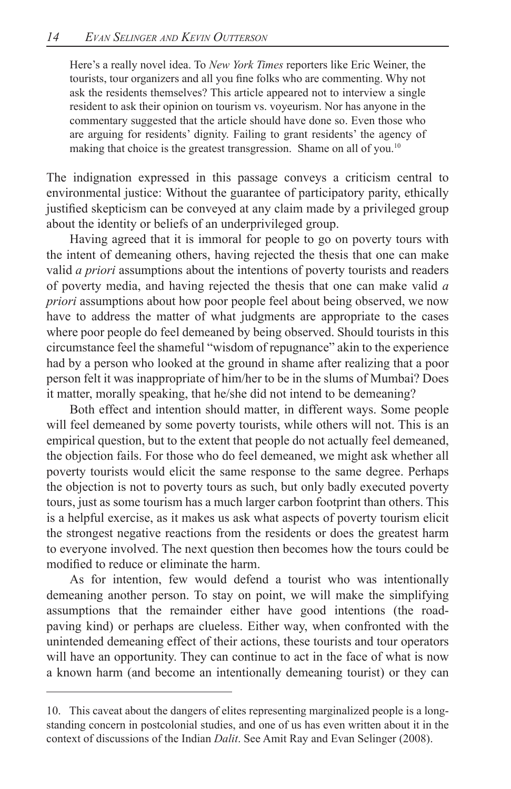Here's a really novel idea. To *New York Times* reporters like Eric Weiner, the tourists, tour organizers and all you fine folks who are commenting. Why not ask the residents themselves? This article appeared not to interview a single resident to ask their opinion on tourism vs. voyeurism. Nor has anyone in the commentary suggested that the article should have done so. Even those who are arguing for residents' dignity. Failing to grant residents' the agency of making that choice is the greatest transgression. Shame on all of you.<sup>10</sup>

The indignation expressed in this passage conveys a criticism central to environmental justice: Without the guarantee of participatory parity, ethically justified skepticism can be conveyed at any claim made by a privileged group about the identity or beliefs of an underprivileged group.

Having agreed that it is immoral for people to go on poverty tours with the intent of demeaning others, having rejected the thesis that one can make valid *a priori* assumptions about the intentions of poverty tourists and readers of poverty media, and having rejected the thesis that one can make valid *a priori* assumptions about how poor people feel about being observed, we now have to address the matter of what judgments are appropriate to the cases where poor people do feel demeaned by being observed. Should tourists in this circumstance feel the shameful "wisdom of repugnance" akin to the experience had by a person who looked at the ground in shame after realizing that a poor person felt it was inappropriate of him/her to be in the slums of Mumbai? Does it matter, morally speaking, that he/she did not intend to be demeaning?

Both effect and intention should matter, in different ways. Some people will feel demeaned by some poverty tourists, while others will not. This is an empirical question, but to the extent that people do not actually feel demeaned, the objection fails. For those who do feel demeaned, we might ask whether all poverty tourists would elicit the same response to the same degree. Perhaps the objection is not to poverty tours as such, but only badly executed poverty tours, just as some tourism has a much larger carbon footprint than others. This is a helpful exercise, as it makes us ask what aspects of poverty tourism elicit the strongest negative reactions from the residents or does the greatest harm to everyone involved. The next question then becomes how the tours could be modified to reduce or eliminate the harm.

As for intention, few would defend a tourist who was intentionally demeaning another person. To stay on point, we will make the simplifying assumptions that the remainder either have good intentions (the roadpaving kind) or perhaps are clueless. Either way, when confronted with the unintended demeaning effect of their actions, these tourists and tour operators will have an opportunity. They can continue to act in the face of what is now a known harm (and become an intentionally demeaning tourist) or they can

<sup>10.</sup> This caveat about the dangers of elites representing marginalized people is a longstanding concern in postcolonial studies, and one of us has even written about it in the context of discussions of the Indian *Dalit*. See Amit Ray and Evan Selinger (2008).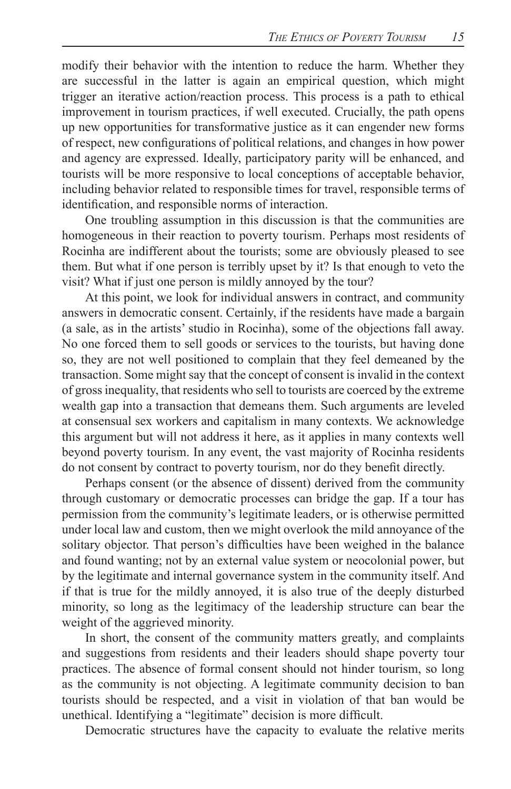modify their behavior with the intention to reduce the harm. Whether they are successful in the latter is again an empirical question, which might trigger an iterative action/reaction process. This process is a path to ethical improvement in tourism practices, if well executed. Crucially, the path opens up new opportunities for transformative justice as it can engender new forms of respect, new configurations of political relations, and changes in how power and agency are expressed. Ideally, participatory parity will be enhanced, and tourists will be more responsive to local conceptions of acceptable behavior, including behavior related to responsible times for travel, responsible terms of identification, and responsible norms of interaction.

One troubling assumption in this discussion is that the communities are homogeneous in their reaction to poverty tourism. Perhaps most residents of Rocinha are indifferent about the tourists; some are obviously pleased to see them. But what if one person is terribly upset by it? Is that enough to veto the visit? What if just one person is mildly annoyed by the tour?

At this point, we look for individual answers in contract, and community answers in democratic consent. Certainly, if the residents have made a bargain (a sale, as in the artists' studio in Rocinha), some of the objections fall away. No one forced them to sell goods or services to the tourists, but having done so, they are not well positioned to complain that they feel demeaned by the transaction. Some might say that the concept of consent is invalid in the context of gross inequality, that residents who sell to tourists are coerced by the extreme wealth gap into a transaction that demeans them. Such arguments are leveled at consensual sex workers and capitalism in many contexts. We acknowledge this argument but will not address it here, as it applies in many contexts well beyond poverty tourism. In any event, the vast majority of Rocinha residents do not consent by contract to poverty tourism, nor do they benefit directly.

Perhaps consent (or the absence of dissent) derived from the community through customary or democratic processes can bridge the gap. If a tour has permission from the community's legitimate leaders, or is otherwise permitted under local law and custom, then we might overlook the mild annoyance of the solitary objector. That person's difficulties have been weighed in the balance and found wanting; not by an external value system or neocolonial power, but by the legitimate and internal governance system in the community itself. And if that is true for the mildly annoyed, it is also true of the deeply disturbed minority, so long as the legitimacy of the leadership structure can bear the weight of the aggrieved minority.

In short, the consent of the community matters greatly, and complaints and suggestions from residents and their leaders should shape poverty tour practices. The absence of formal consent should not hinder tourism, so long as the community is not objecting. A legitimate community decision to ban tourists should be respected, and a visit in violation of that ban would be unethical. Identifying a "legitimate" decision is more difficult.

Democratic structures have the capacity to evaluate the relative merits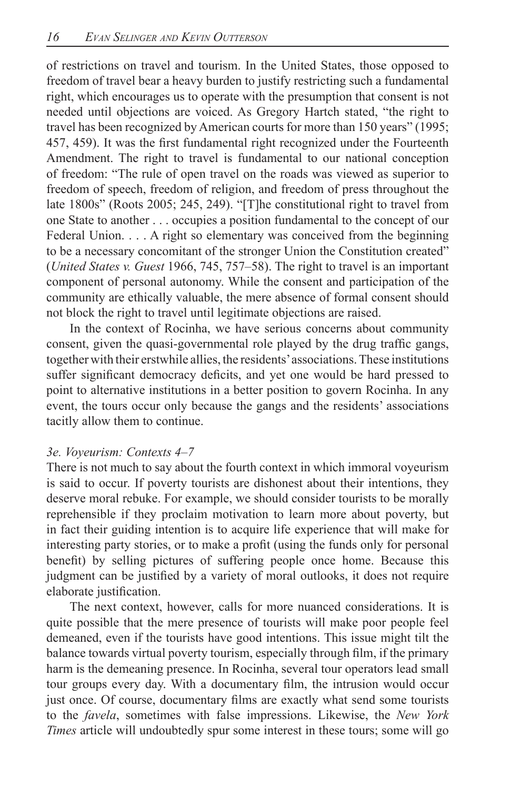of restrictions on travel and tourism. In the United States, those opposed to freedom of travel bear a heavy burden to justify restricting such a fundamental right, which encourages us to operate with the presumption that consent is not needed until objections are voiced. As Gregory Hartch stated, "the right to travel has been recognized by American courts for more than 150 years" (1995; 457, 459). It was the first fundamental right recognized under the Fourteenth Amendment. The right to travel is fundamental to our national conception of freedom: "The rule of open travel on the roads was viewed as superior to freedom of speech, freedom of religion, and freedom of press throughout the late 1800s" (Roots 2005; 245, 249). "[T]he constitutional right to travel from one State to another . . . occupies a position fundamental to the concept of our Federal Union. . . . A right so elementary was conceived from the beginning to be a necessary concomitant of the stronger Union the Constitution created" (*United States v. Guest* 1966, 745, 757–58). The right to travel is an important component of personal autonomy. While the consent and participation of the community are ethically valuable, the mere absence of formal consent should not block the right to travel until legitimate objections are raised.

In the context of Rocinha, we have serious concerns about community consent, given the quasi-governmental role played by the drug traffic gangs, together with their erstwhile allies, the residents' associations. These institutions suffer significant democracy deficits, and yet one would be hard pressed to point to alternative institutions in a better position to govern Rocinha. In any event, the tours occur only because the gangs and the residents' associations tacitly allow them to continue.

#### *3e. Voyeurism: Contexts 4–7*

There is not much to say about the fourth context in which immoral voyeurism is said to occur. If poverty tourists are dishonest about their intentions, they deserve moral rebuke. For example, we should consider tourists to be morally reprehensible if they proclaim motivation to learn more about poverty, but in fact their guiding intention is to acquire life experience that will make for interesting party stories, or to make a profit (using the funds only for personal benefit) by selling pictures of suffering people once home. Because this judgment can be justified by a variety of moral outlooks, it does not require elaborate justification.

The next context, however, calls for more nuanced considerations. It is quite possible that the mere presence of tourists will make poor people feel demeaned, even if the tourists have good intentions. This issue might tilt the balance towards virtual poverty tourism, especially through film, if the primary harm is the demeaning presence. In Rocinha, several tour operators lead small tour groups every day. With a documentary film, the intrusion would occur just once. Of course, documentary films are exactly what send some tourists to the *favela*, sometimes with false impressions. Likewise, the *New York Times* article will undoubtedly spur some interest in these tours; some will go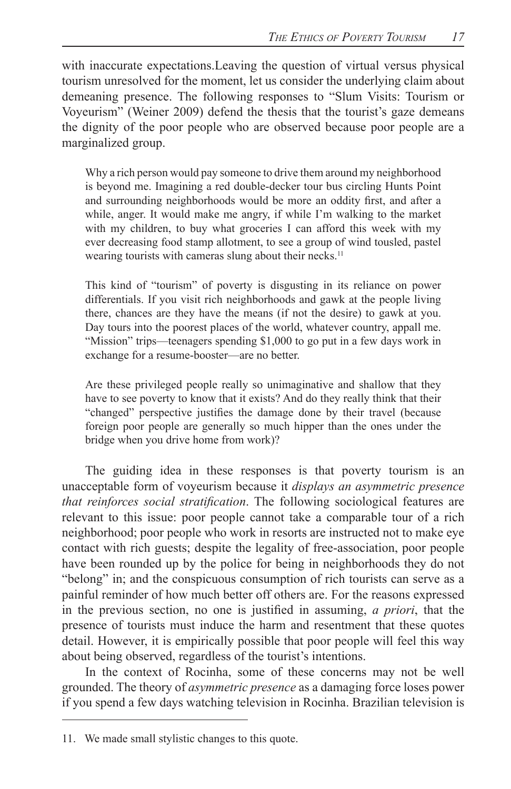with inaccurate expectations.Leaving the question of virtual versus physical tourism unresolved for the moment, let us consider the underlying claim about demeaning presence. The following responses to "Slum Visits: Tourism or Voyeurism" (Weiner 2009) defend the thesis that the tourist's gaze demeans the dignity of the poor people who are observed because poor people are a marginalized group.

Why a rich person would pay someone to drive them around my neighborhood is beyond me. Imagining a red double-decker tour bus circling Hunts Point and surrounding neighborhoods would be more an oddity first, and after a while, anger. It would make me angry, if while I'm walking to the market with my children, to buy what groceries I can afford this week with my ever decreasing food stamp allotment, to see a group of wind tousled, pastel wearing tourists with cameras slung about their necks.<sup>11</sup>

This kind of "tourism" of poverty is disgusting in its reliance on power differentials. If you visit rich neighborhoods and gawk at the people living there, chances are they have the means (if not the desire) to gawk at you. Day tours into the poorest places of the world, whatever country, appall me. "Mission" trips—teenagers spending \$1,000 to go put in a few days work in exchange for a resume-booster—are no better.

Are these privileged people really so unimaginative and shallow that they have to see poverty to know that it exists? And do they really think that their "changed" perspective justifies the damage done by their travel (because foreign poor people are generally so much hipper than the ones under the bridge when you drive home from work)?

The guiding idea in these responses is that poverty tourism is an unacceptable form of voyeurism because it *displays an asymmetric presence that reinforces social stratification*. The following sociological features are relevant to this issue: poor people cannot take a comparable tour of a rich neighborhood; poor people who work in resorts are instructed not to make eye contact with rich guests; despite the legality of free-association, poor people have been rounded up by the police for being in neighborhoods they do not "belong" in; and the conspicuous consumption of rich tourists can serve as a painful reminder of how much better off others are. For the reasons expressed in the previous section, no one is justified in assuming, *a priori*, that the presence of tourists must induce the harm and resentment that these quotes detail. However, it is empirically possible that poor people will feel this way about being observed, regardless of the tourist's intentions.

In the context of Rocinha, some of these concerns may not be well grounded. The theory of *asymmetric presence* as a damaging force loses power if you spend a few days watching television in Rocinha. Brazilian television is

<sup>11.</sup> We made small stylistic changes to this quote.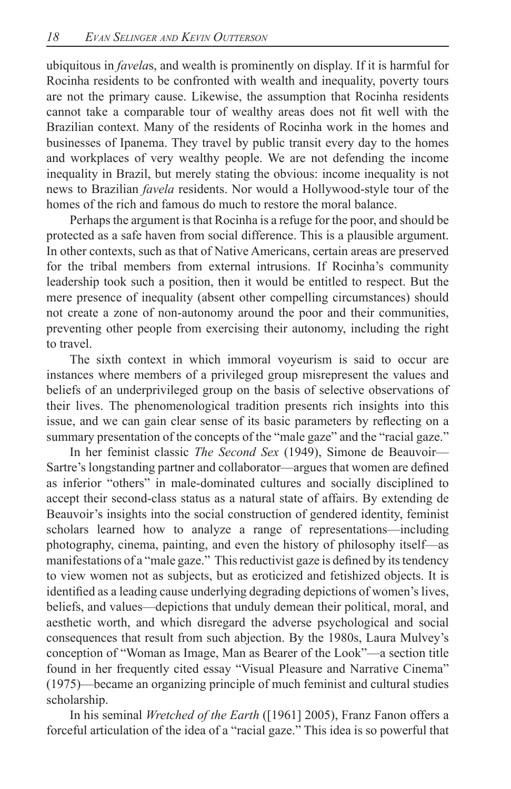ubiquitous in *favela*s, and wealth is prominently on display. If it is harmful for Rocinha residents to be confronted with wealth and inequality, poverty tours are not the primary cause. Likewise, the assumption that Rocinha residents cannot take a comparable tour of wealthy areas does not fit well with the Brazilian context. Many of the residents of Rocinha work in the homes and businesses of Ipanema. They travel by public transit every day to the homes and workplaces of very wealthy people. We are not defending the income inequality in Brazil, but merely stating the obvious: income inequality is not news to Brazilian *favela* residents. Nor would a Hollywood-style tour of the homes of the rich and famous do much to restore the moral balance.

Perhaps the argument is that Rocinha is a refuge for the poor, and should be protected as a safe haven from social difference. This is a plausible argument. In other contexts, such as that of Native Americans, certain areas are preserved for the tribal members from external intrusions. If Rocinha's community leadership took such a position, then it would be entitled to respect. But the mere presence of inequality (absent other compelling circumstances) should not create a zone of non-autonomy around the poor and their communities, preventing other people from exercising their autonomy, including the right to travel.

The sixth context in which immoral voyeurism is said to occur are instances where members of a privileged group misrepresent the values and beliefs of an underprivileged group on the basis of selective observations of their lives. The phenomenological tradition presents rich insights into this issue, and we can gain clear sense of its basic parameters by reflecting on a summary presentation of the concepts of the "male gaze" and the "racial gaze."

In her feminist classic *The Second Sex* (1949), Simone de Beauvoir— Sartre's longstanding partner and collaborator—argues that women are defined as inferior "others" in male-dominated cultures and socially disciplined to accept their second-class status as a natural state of affairs. By extending de Beauvoir's insights into the social construction of gendered identity, feminist scholars learned how to analyze a range of representations—including photography, cinema, painting, and even the history of philosophy itself––as manifestations of a "male gaze." This reductivist gaze is defined by its tendency to view women not as subjects, but as eroticized and fetishized objects. It is identified as a leading cause underlying degrading depictions of women's lives, beliefs, and values—depictions that unduly demean their political, moral, and aesthetic worth, and which disregard the adverse psychological and social consequences that result from such abjection. By the 1980s, Laura Mulvey's conception of "Woman as Image, Man as Bearer of the Look"—a section title found in her frequently cited essay "Visual Pleasure and Narrative Cinema" (1975)—became an organizing principle of much feminist and cultural studies scholarship.

In his seminal *Wretched of the Earth* ([1961] 2005), Franz Fanon offers a forceful articulation of the idea of a "racial gaze." This idea is so powerful that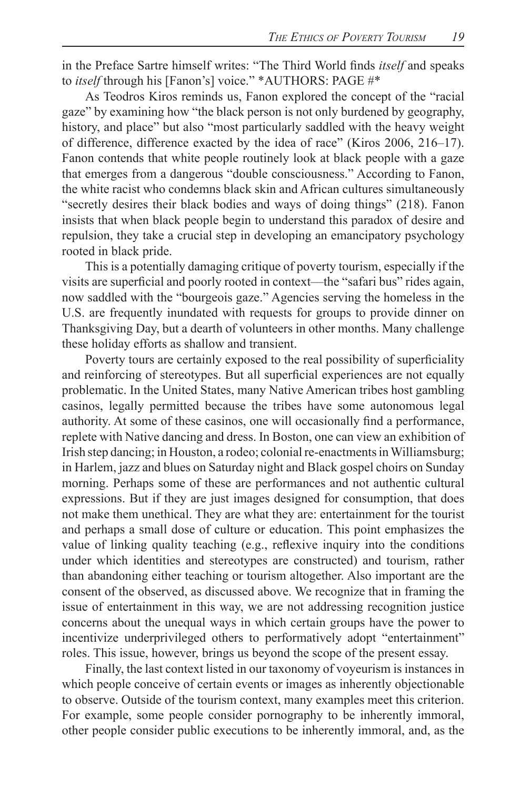in the Preface Sartre himself writes: "The Third World finds *itself* and speaks to *itself* through his [Fanon's] voice." \*AUTHORS: PAGE #\*

As Teodros Kiros reminds us, Fanon explored the concept of the "racial gaze" by examining how "the black person is not only burdened by geography, history, and place" but also "most particularly saddled with the heavy weight of difference, difference exacted by the idea of race" (Kiros 2006, 216–17). Fanon contends that white people routinely look at black people with a gaze that emerges from a dangerous "double consciousness." According to Fanon, the white racist who condemns black skin and African cultures simultaneously "secretly desires their black bodies and ways of doing things" (218). Fanon insists that when black people begin to understand this paradox of desire and repulsion, they take a crucial step in developing an emancipatory psychology rooted in black pride.

This is a potentially damaging critique of poverty tourism, especially if the visits are superficial and poorly rooted in context––the "safari bus" rides again, now saddled with the "bourgeois gaze." Agencies serving the homeless in the U.S. are frequently inundated with requests for groups to provide dinner on Thanksgiving Day, but a dearth of volunteers in other months. Many challenge these holiday efforts as shallow and transient.

Poverty tours are certainly exposed to the real possibility of superficiality and reinforcing of stereotypes. But all superficial experiences are not equally problematic. In the United States, many Native American tribes host gambling casinos, legally permitted because the tribes have some autonomous legal authority. At some of these casinos, one will occasionally find a performance, replete with Native dancing and dress. In Boston, one can view an exhibition of Irish step dancing; in Houston, a rodeo; colonial re-enactments in Williamsburg; in Harlem, jazz and blues on Saturday night and Black gospel choirs on Sunday morning. Perhaps some of these are performances and not authentic cultural expressions. But if they are just images designed for consumption, that does not make them unethical. They are what they are: entertainment for the tourist and perhaps a small dose of culture or education. This point emphasizes the value of linking quality teaching (e.g., reflexive inquiry into the conditions under which identities and stereotypes are constructed) and tourism, rather than abandoning either teaching or tourism altogether. Also important are the consent of the observed, as discussed above. We recognize that in framing the issue of entertainment in this way, we are not addressing recognition justice concerns about the unequal ways in which certain groups have the power to incentivize underprivileged others to performatively adopt "entertainment" roles. This issue, however, brings us beyond the scope of the present essay.

Finally, the last context listed in our taxonomy of voyeurism is instances in which people conceive of certain events or images as inherently objectionable to observe. Outside of the tourism context, many examples meet this criterion. For example, some people consider pornography to be inherently immoral, other people consider public executions to be inherently immoral, and, as the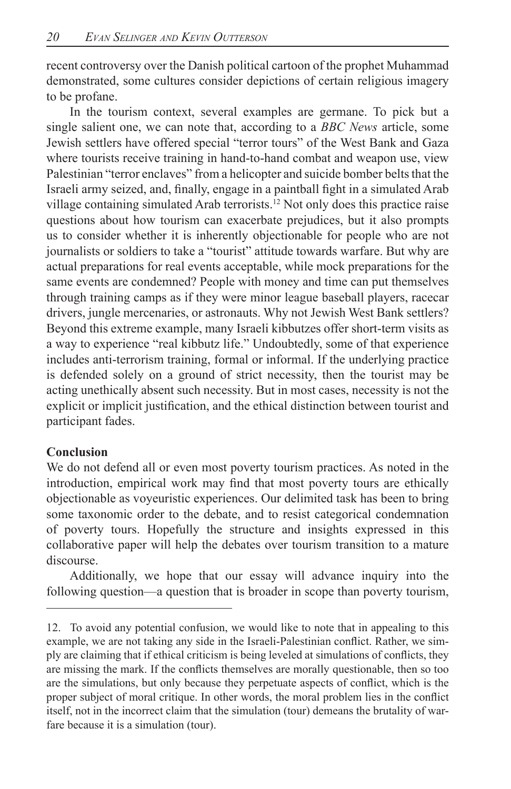recent controversy over the Danish political cartoon of the prophet Muhammad demonstrated, some cultures consider depictions of certain religious imagery to be profane.

In the tourism context, several examples are germane. To pick but a single salient one, we can note that, according to a *BBC News* article, some Jewish settlers have offered special "terror tours" of the West Bank and Gaza where tourists receive training in hand-to-hand combat and weapon use, view Palestinian "terror enclaves" from a helicopter and suicide bomber belts that the Israeli army seized, and, finally, engage in a paintball fight in a simulated Arab village containing simulated Arab terrorists.12 Not only does this practice raise questions about how tourism can exacerbate prejudices, but it also prompts us to consider whether it is inherently objectionable for people who are not journalists or soldiers to take a "tourist" attitude towards warfare. But why are actual preparations for real events acceptable, while mock preparations for the same events are condemned? People with money and time can put themselves through training camps as if they were minor league baseball players, racecar drivers, jungle mercenaries, or astronauts. Why not Jewish West Bank settlers? Beyond this extreme example, many Israeli kibbutzes offer short-term visits as a way to experience "real kibbutz life." Undoubtedly, some of that experience includes anti-terrorism training, formal or informal. If the underlying practice is defended solely on a ground of strict necessity, then the tourist may be acting unethically absent such necessity. But in most cases, necessity is not the explicit or implicit justification, and the ethical distinction between tourist and participant fades.

#### **Conclusion**

We do not defend all or even most poverty tourism practices. As noted in the introduction, empirical work may find that most poverty tours are ethically objectionable as voyeuristic experiences. Our delimited task has been to bring some taxonomic order to the debate, and to resist categorical condemnation of poverty tours. Hopefully the structure and insights expressed in this collaborative paper will help the debates over tourism transition to a mature discourse.

Additionally, we hope that our essay will advance inquiry into the following question—a question that is broader in scope than poverty tourism,

<sup>12.</sup> To avoid any potential confusion, we would like to note that in appealing to this example, we are not taking any side in the Israeli-Palestinian conflict. Rather, we simply are claiming that if ethical criticism is being leveled at simulations of conflicts, they are missing the mark. If the conflicts themselves are morally questionable, then so too are the simulations, but only because they perpetuate aspects of conflict, which is the proper subject of moral critique. In other words, the moral problem lies in the conflict itself, not in the incorrect claim that the simulation (tour) demeans the brutality of warfare because it is a simulation (tour).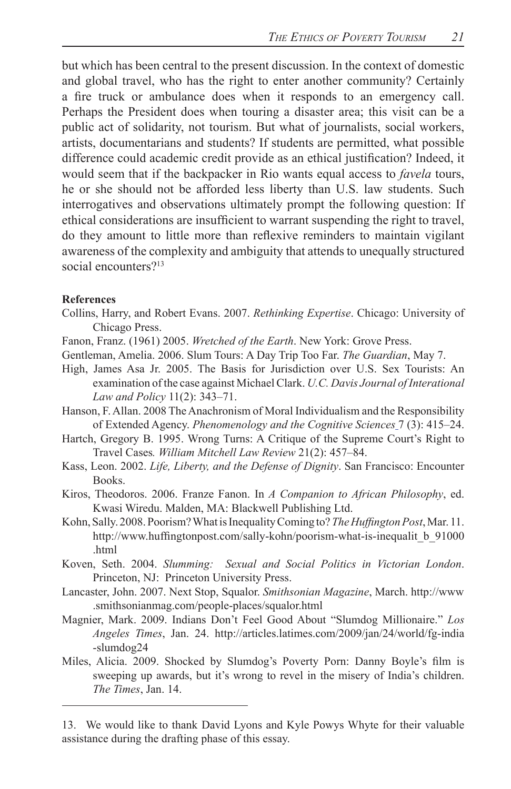but which has been central to the present discussion. In the context of domestic and global travel, who has the right to enter another community? Certainly a fire truck or ambulance does when it responds to an emergency call. Perhaps the President does when touring a disaster area; this visit can be a public act of solidarity, not tourism. But what of journalists, social workers, artists, documentarians and students? If students are permitted, what possible difference could academic credit provide as an ethical justification? Indeed, it would seem that if the backpacker in Rio wants equal access to *favela* tours, he or she should not be afforded less liberty than U.S. law students. Such interrogatives and observations ultimately prompt the following question: If ethical considerations are insufficient to warrant suspending the right to travel, do they amount to little more than reflexive reminders to maintain vigilant awareness of the complexity and ambiguity that attends to unequally structured social encounters?<sup>13</sup>

#### **References**

- Collins, Harry, and Robert Evans. 2007. *Rethinking Expertise*. Chicago: University of Chicago Press.
- Fanon, Franz. (1961) 2005. *Wretched of the Earth*. New York: Grove Press.
- Gentleman, Amelia. 2006. Slum Tours: A Day Trip Too Far. *The Guardian*, May 7.
- High, James Asa Jr. 2005. The Basis for Jurisdiction over U.S. Sex Tourists: An examination of the case against Michael Clark. *U.C. Davis Journal of Interational Law and Policy* 11(2): 343–71.
- Hanson, F. Allan. 2008 The Anachronism of Moral Individualism and the Responsibility of Extended Agency. *Phenomenology and the Cognitive Sciences* 7 (3): 415–24.
- Hartch, Gregory B. 1995. Wrong Turns: A Critique of the Supreme Court's Right to Travel Cases*. William Mitchell Law Review* 21(2): 457–84.
- Kass, Leon. 2002. *Life, Liberty, and the Defense of Dignity*. San Francisco: Encounter Books.
- Kiros, Theodoros. 2006. Franze Fanon. In *A Companion to African Philosophy*, ed. Kwasi Wiredu. Malden, MA: Blackwell Publishing Ltd.
- Kohn, Sally. 2008. Poorism? What is Inequality Coming to? *The Huffington Post*, Mar. 11. http://www.huffingtonpost.com/sally-kohn/poorism-what-is-inequalit\_b\_91000 .html
- Koven, Seth. 2004. *Slumming: Sexual and Social Politics in Victorian London*. Princeton, NJ: Princeton University Press.
- Lancaster, John. 2007. Next Stop, Squalor. *Smithsonian Magazine*, March. http://www .smithsonianmag.com/people-places/squalor.html
- Magnier, Mark. 2009. Indians Don't Feel Good About "Slumdog Millionaire." *Los Angeles Times*, Jan. 24. http://articles.latimes.com/2009/jan/24/world/fg-india -slumdog24
- Miles, Alicia. 2009. Shocked by Slumdog's Poverty Porn: Danny Boyle's film is sweeping up awards, but it's wrong to revel in the misery of India's children. *The Times*, Jan. 14.

<sup>13.</sup> We would like to thank David Lyons and Kyle Powys Whyte for their valuable assistance during the drafting phase of this essay.